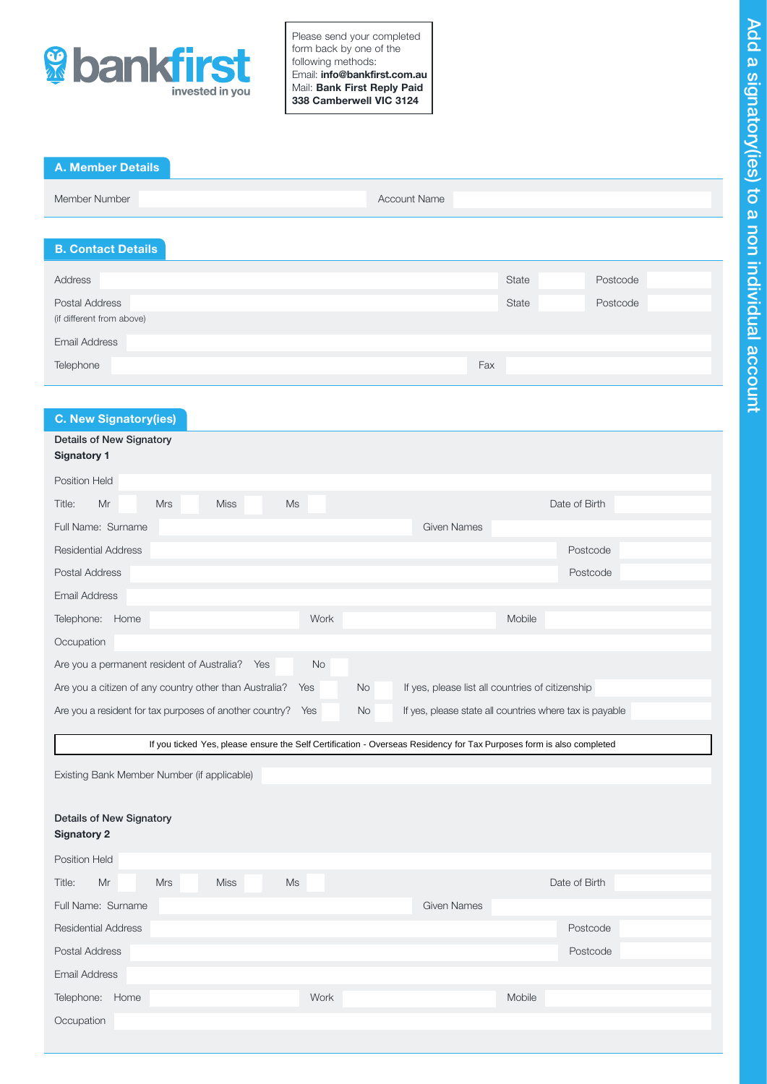

Please send your completed form back by one of the following methods: Email: info@bankfirst.com.au Mail: Bank First Reply Paid 338 Camberwell VIC 3124

| <b>A. Member Details</b> |                     |  |
|--------------------------|---------------------|--|
| Member Number            | <b>Account Name</b> |  |

# B. Contact Details

| Address                   | State | Postcode |
|---------------------------|-------|----------|
| Postal Address            | State | Postcode |
| (if different from above) |       |          |
| <b>Email Address</b>      |       |          |
| Telephone                 | Fax   |          |

# C. New Signatory(ies)

| Details of New Signatory<br><b>Signatory 1</b>                                                                       |                                                         |  |  |  |  |
|----------------------------------------------------------------------------------------------------------------------|---------------------------------------------------------|--|--|--|--|
| <b>Position Held</b>                                                                                                 |                                                         |  |  |  |  |
| <b>Ms</b><br>Mr<br><b>Mrs</b><br><b>Miss</b><br>Title:                                                               | Date of Birth                                           |  |  |  |  |
| Full Name: Surname<br><b>Given Names</b>                                                                             |                                                         |  |  |  |  |
| <b>Residential Address</b>                                                                                           | Postcode                                                |  |  |  |  |
| <b>Postal Address</b>                                                                                                | Postcode                                                |  |  |  |  |
| <b>Email Address</b>                                                                                                 |                                                         |  |  |  |  |
| Work<br>Telephone: Home                                                                                              | Mobile                                                  |  |  |  |  |
| Occupation                                                                                                           |                                                         |  |  |  |  |
| Are you a permanent resident of Australia?<br>Yes<br>No                                                              |                                                         |  |  |  |  |
| Are you a citizen of any country other than Australia?<br><b>No</b><br>Yes                                           | If yes, please list all countries of citizenship        |  |  |  |  |
| Are you a resident for tax purposes of another country?<br>No<br>Yes                                                 | If yes, please state all countries where tax is payable |  |  |  |  |
|                                                                                                                      |                                                         |  |  |  |  |
| If you ticked Yes, please ensure the Self Certification - Overseas Residency for Tax Purposes form is also completed |                                                         |  |  |  |  |
| Existing Bank Member Number (if applicable)                                                                          |                                                         |  |  |  |  |
|                                                                                                                      |                                                         |  |  |  |  |
| <b>Details of New Signatory</b>                                                                                      |                                                         |  |  |  |  |
| <b>Signatory 2</b>                                                                                                   |                                                         |  |  |  |  |
| <b>Position Held</b>                                                                                                 |                                                         |  |  |  |  |
| Mr<br><b>Mrs</b><br><b>Miss</b><br><b>Ms</b><br>Title:                                                               | Date of Birth                                           |  |  |  |  |
| Full Name: Surname<br><b>Given Names</b>                                                                             |                                                         |  |  |  |  |
| <b>Residential Address</b>                                                                                           | Postcode                                                |  |  |  |  |
| <b>Postal Address</b>                                                                                                |                                                         |  |  |  |  |
|                                                                                                                      | Postcode                                                |  |  |  |  |
| <b>Email Address</b>                                                                                                 |                                                         |  |  |  |  |
| Telephone: Home<br>Work                                                                                              | Mobile                                                  |  |  |  |  |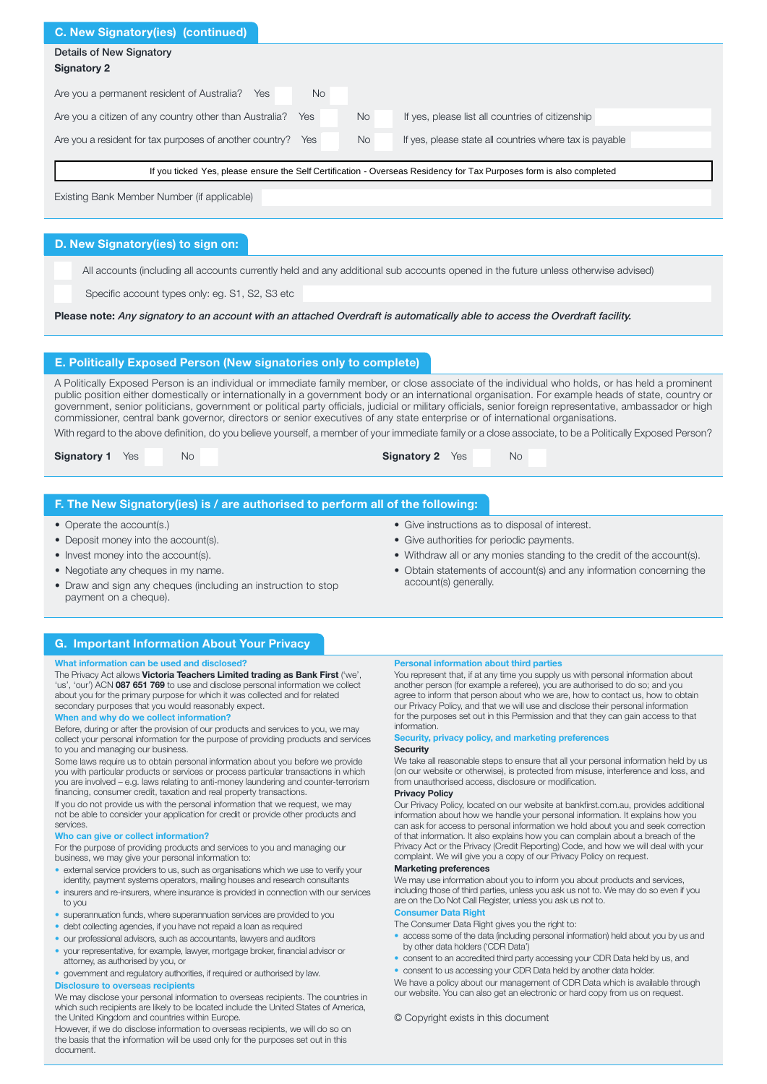| <b>C. New Signatory (ies) (continued)</b>                                                                            |           |                                                         |  |  |
|----------------------------------------------------------------------------------------------------------------------|-----------|---------------------------------------------------------|--|--|
| <b>Details of New Signatory</b><br><b>Signatory 2</b>                                                                |           |                                                         |  |  |
| Are you a permanent resident of Australia?<br><b>No</b><br>Yes                                                       |           |                                                         |  |  |
| Are you a citizen of any country other than Australia?<br><b>Yes</b>                                                 | <b>No</b> | If yes, please list all countries of citizenship        |  |  |
| Are you a resident for tax purposes of another country?<br><b>Yes</b>                                                | <b>No</b> | If yes, please state all countries where tax is payable |  |  |
| If you ticked Yes, please ensure the Self Certification - Overseas Residency for Tax Purposes form is also completed |           |                                                         |  |  |
| Existing Bank Member Number (if applicable)                                                                          |           |                                                         |  |  |

# D. New Signatory(ies) to sign on:

All accounts (including all accounts currently held and any additional sub accounts opened in the future unless otherwise advised)

Specific account types only: eg. S1, S2, S3 etc

Please note: Any signatory to an account with an attached Overdraft is automatically able to access the Overdraft facility.

## E. Politically Exposed Person (New signatories only to complete)

A Politically Exposed Person is an individual or immediate family member, or close associate of the individual who holds, or has held a prominent public position either domestically or internationally in a government body or an international organisation. For example heads of state, country or government, senior politicians, government or political party officials, judicial or military officials, senior foreign representative, ambassador or high commissioner, central bank governor, directors or senior executives of any state enterprise or of international organisations.

With regard to the above definition, do you believe yourself, a member of your immediate family or a close associate, to be a Politically Exposed Person?

|  | <b>Signatory 1</b> Yes |  | No | <b>Signatory 2</b> Yes |  | No |  |
|--|------------------------|--|----|------------------------|--|----|--|
|--|------------------------|--|----|------------------------|--|----|--|

### F. The New Signatory(ies) is / are authorised to perform all of the following:

- Operate the account(s.)
- Deposit money into the account(s).
- Invest money into the account(s).
- Negotiate any cheques in my name.
- Draw and sign any cheques (including an instruction to stop payment on a cheque).
- Give instructions as to disposal of interest.
- Give authorities for periodic payments.
- Withdraw all or any monies standing to the credit of the account(s).
- Obtain statements of account(s) and any information concerning the account(s) generally.

# G. Important Information About Your Privacy

## What information can be used and disclosed?

The Privacy Act allows Victoria Teachers Limited trading as Bank First ('we', 'us', 'our') ACN 087 651 769 to use and disclose personal information we collect about you for the primary purpose for which it was collected and for related secondary purposes that you would reasonably expect.

#### When and why do we collect information?

Before, during or after the provision of our products and services to you, we may collect your personal information for the purpose of providing products and services to you and managing our business.

Some laws require us to obtain personal information about you before we provide you with particular products or services or process particular transactions in which you are involved – e.g. laws relating to anti-money laundering and counter-terrorism financing, consumer credit, taxation and real property transactions.

If you do not provide us with the personal information that we request, we may not be able to consider your application for credit or provide other products and services.

#### Who can give or collect information?

For the purpose of providing products and services to you and managing our business, we may give your personal information to:

- external service providers to us, such as organisations which we use to verify your identity, payment systems operators, mailing houses and research consultant
- insurers and re-insurers, where insurance is provided in connection with our services to you
- superannuation funds, where superannuation services are provided to you
- debt collecting agencies, if you have not repaid a loan as required
- our professional advisors, such as accountants, lawyers and auditors
- your representative, for example, lawyer, mortgage broker, financial advisor or attorney, as authorised by you, or

• government and regulatory authorities, if required or authorised by law.

### Disclosure to overseas recipients

We may disclose your personal information to overseas recipients. The countries in which such recipients are likely to be located include the United States of America, the United Kingdom and countries within Europe.

However, if we do disclose information to overseas recipients, we will do so on the basis that the information will be used only for the purposes set out in this document.

#### Personal information about third parties

You represent that, if at any time you supply us with personal information about another person (for example a referee), you are authorised to do so; and you agree to inform that person about who we are, how to contact us, how to obtain our Privacy Policy, and that we will use and disclose their personal information for the purposes set out in this Permission and that they can gain access to that information.

#### Security, privacy policy, and marketing preference **Security**

We take all reasonable steps to ensure that all your personal information held by us (on our website or otherwise), is protected from misuse, interference and loss, and from unauthorised access, disclosure or modification.

#### Privacy Policy

Our Privacy Policy, located on our website at bankfirst.com.au, provides additional information about how we handle your personal information. It explains how you can ask for access to personal information we hold about you and seek correction of that information. It also explains how you can complain about a breach of the Privacy Act or the Privacy (Credit Reporting) Code, and how we will deal with your complaint. We will give you a copy of our Privacy Policy on request.

#### Marketing preferences

We may use information about you to inform you about products and services, including those of third parties, unless you ask us not to. We may do so even if you are on the Do Not Call Register, unless you ask us not to. Consumer Data Right

# The Consumer Data Right gives you the right to:

- access some of the data (including personal information) held about you by us and by other data holders ('CDR Data')
- consent to an accredited third party accessing your CDR Data held by us, and
- consent to us accessing your CDR Data held by another data holder.
- We have a policy about our management of CDR Data which is available through our website. You can also get an electronic or hard copy from us on request.

#### © Copyright exists in this document